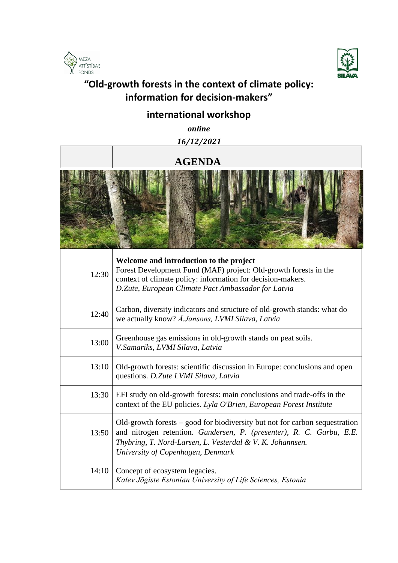



## **"Old-growth forests in the context of climate policy: information for decision-makers"**

## **international workshop**

 *online 16/12/2021*

## **AGENDA**



| 12:30 | Welcome and introduction to the project<br>Forest Development Fund (MAF) project: Old-growth forests in the<br>context of climate policy: information for decision-makers.<br>D.Zute, European Climate Pact Ambassador for Latvia                       |
|-------|---------------------------------------------------------------------------------------------------------------------------------------------------------------------------------------------------------------------------------------------------------|
| 12:40 | Carbon, diversity indicators and structure of old-growth stands: what do<br>we actually know? A.Jansons, LVMI Silava, Latvia                                                                                                                            |
| 13:00 | Greenhouse gas emissions in old-growth stands on peat soils.<br>V.Samariks, LVMI Silava, Latvia                                                                                                                                                         |
| 13:10 | Old-growth forests: scientific discussion in Europe: conclusions and open<br>questions. D.Zute LVMI Silava, Latvia                                                                                                                                      |
| 13:30 | EFI study on old-growth forests: main conclusions and trade-offs in the<br>context of the EU policies. Lyla O'Brien, European Forest Institute                                                                                                          |
| 13:50 | Old-growth forests $-$ good for biodiversity but not for carbon sequestration<br>and nitrogen retention. Gundersen, P. (presenter), R. C. Garbu, E.E.<br>Thybring, T. Nord-Larsen, L. Vesterdal & V. K. Johannsen.<br>University of Copenhagen, Denmark |
| 14:10 | Concept of ecosystem legacies.<br>Kalev Jõgiste Estonian University of Life Sciences, Estonia                                                                                                                                                           |